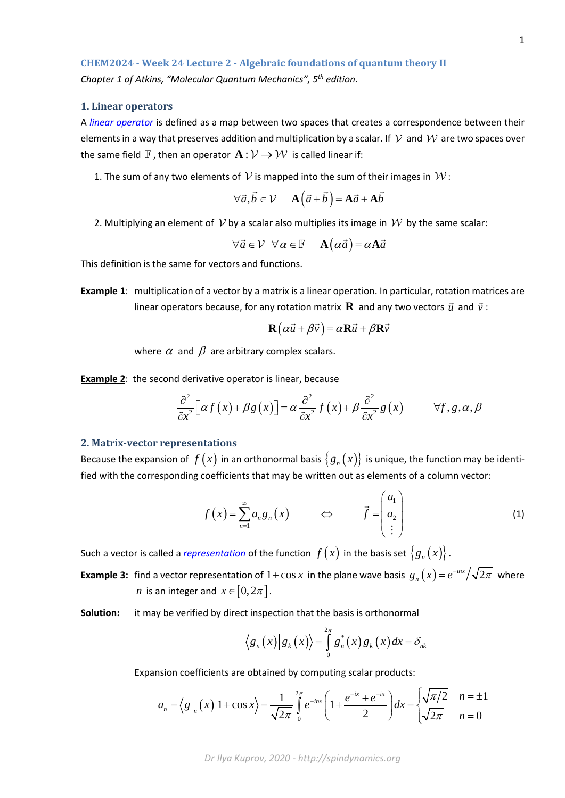# **CHEM2024 - Week 24 Lecture 2 - Algebraic foundations of quantum theory II** *Chapter 1 of Atkins, "Molecular Quantum Mechanics", 5th edition.*

## **1. Linear operators**

A *linear operator* is defined as a map between two spaces that creates a correspondence between their elements in a way that preserves addition and multiplication by a scalar. If  $\mathcal V$  and  $\mathcal W$  are two spaces over the same field  $\mathbb F$ , then an operator  $\mathbf A : \mathcal V \to \mathcal W$  is called linear if:

1. The sum of any two elements of  $\mathcal V$  is mapped into the sum of their images in  $\mathcal W$ :

$$
\forall \vec{a}, \vec{b} \in \mathcal{V} \quad \mathbf{A}(\vec{a} + \vec{b}) = \mathbf{A}\vec{a} + \mathbf{A}\vec{b}
$$

2. Multiplying an element of  $\mathcal V$  by a scalar also multiplies its image in  $\mathcal W$  by the same scalar:

$$
\forall \vec{a} \in \mathcal{V} \ \forall \alpha \in \mathbb{F} \quad \mathbf{A}(\alpha \vec{a}) = \alpha \mathbf{A} \vec{a}
$$

This definition is the same for vectors and functions.

**Example 1**: multiplication of a vector by a matrix is a linear operation. In particular, rotation matrices are linear operators because, for any rotation matrix **R** and any two vectors  $\vec{u}$  and  $\vec{v}$ :

$$
\mathbf{R}(\alpha \vec{u} + \beta \vec{v}) = \alpha \mathbf{R} \vec{u} + \beta \mathbf{R} \vec{v}
$$

where  $\alpha$  and  $\beta$  are arbitrary complex scalars.

**Example 2**: the second derivative operator is linear, because

$$
\frac{\partial^2}{\partial x^2} \Big[ \alpha f(x) + \beta g(x) \Big] = \alpha \frac{\partial^2}{\partial x^2} f(x) + \beta \frac{\partial^2}{\partial x^2} g(x) \qquad \forall f, g, \alpha, \beta
$$

#### **2. Matrix-vector representations**

Because the expansion of  $f(x)$  in an orthonormal basis  $\{g_n(x)\}\$ is unique, the function may be identified with the corresponding coefficients that may be written out as elements of a column vector:

$$
f(x) = \sum_{n=1}^{\infty} a_n g_n(x) \qquad \Longleftrightarrow \qquad \vec{f} = \begin{pmatrix} a_1 \\ a_2 \\ \vdots \end{pmatrix} \tag{1}
$$

Such a vector is called a *representation* of the function  $f(x)$  in the basis set  ${g_n(x)}$ .

**Example 3:** find a vector representation of  $1 + \cos x$  in the plane wave basis  $g_n(x) = e^{-inx}/\sqrt{2\pi}$  where *n* is an integer and  $x \in [0, 2\pi]$ .

**Solution:** it may be verified by direct inspection that the basis is orthonormal

$$
\langle g_n(x) | g_k(x) \rangle = \int_{0}^{2\pi} g_n^*(x) g_k(x) dx = \delta_{nk}
$$

Expansion coefficients are obtained by computing scalar products:

$$
a_n = \left\langle g_n(x) \middle| 1 + \cos x \right\rangle = \frac{1}{\sqrt{2\pi}} \int_0^{2\pi} e^{-inx} \left( 1 + \frac{e^{-ix} + e^{-ix}}{2} \right) dx = \begin{cases} \sqrt{\pi/2} & n = \pm 1 \\ \sqrt{2\pi} & n = 0 \end{cases}
$$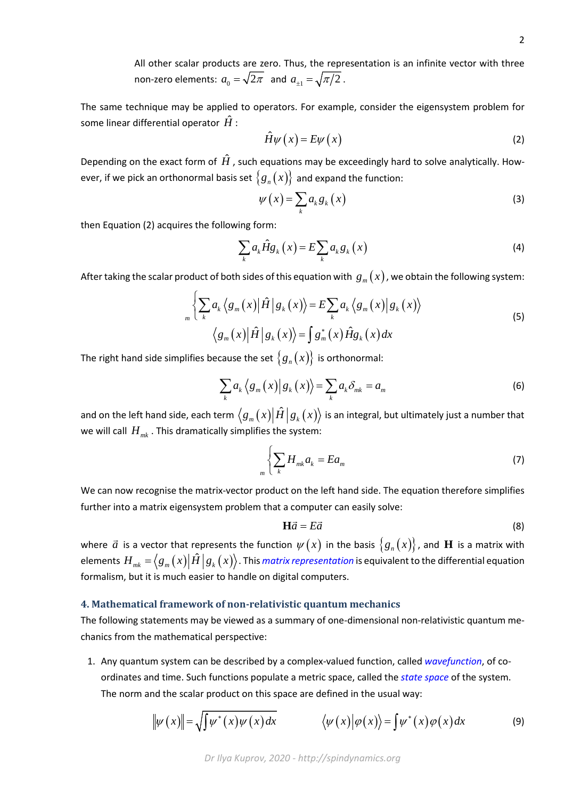All other scalar products are zero. Thus, the representation is an infinite vector with three non-zero elements:  $a_0 = \sqrt{2\pi}$  and  $a_{\pm 1} = \sqrt{\pi/2}$ .

The same technique may be applied to operators. For example, consider the eigensystem problem for some linear differential operator  $\hat{H}$  :

$$
\hat{H}\psi(x) = E\psi(x) \tag{2}
$$

Depending on the exact form of  $\hat{H}$ , such equations may be exceedingly hard to solve analytically. However, if we pick an orthonormal basis set  $\{g_n(x)\}\$  and expand the function:

$$
\psi(x) = \sum_{k} a_{k} g_{k}(x) \tag{3}
$$

then Equation (2) acquires the following form:

$$
\sum_{k} a_{k} \hat{H} g_{k}(x) = E \sum_{k} a_{k} g_{k}(x)
$$
\n(4)

After taking the scalar product of both sides of this equation with  $g_m(x)$ , we obtain the following system:

$$
\sqrt{\sum_{k} a_{k} \langle g_{m}(x) | \hat{H} | g_{k}(x) \rangle} = E \sum_{k} a_{k} \langle g_{m}(x) | g_{k}(x) \rangle
$$
\n
$$
\langle g_{m}(x) | \hat{H} | g_{k}(x) \rangle = \int g_{m}^{*}(x) \hat{H} g_{k}(x) dx
$$
\n(5)

The right hand side simplifies because the set  $\{g_n(x)\}\$ is orthonormal:

$$
\sum_{k} a_{k} \langle g_{m}(x) | g_{k}(x) \rangle = \sum_{k} a_{k} \delta_{mk} = a_{m}
$$
\n(6)

and on the left hand side, each term  $\langle g_m(x)|\hat{H} | g_k(x)\rangle$  is an integral, but ultimately just a number that we will call  $H_{mk}$ . This dramatically simplifies the system:

$$
\sum_{m} \left\{ \sum_{k} H_{mk} a_k = E a_m \right\} \tag{7}
$$

We can now recognise the matrix-vector product on the left hand side. The equation therefore simplifies further into a matrix eigensystem problem that a computer can easily solve:

$$
\mathbf{H}\vec{a} = E\vec{a} \tag{8}
$$

where  $\vec{a}$  is a vector that represents the function  $\psi(x)$  in the basis  $\{g_n(x)\}$ , and  ${\bf H}$  is a matrix with elements  $H_{mk} = ( g_m(x) \big| \hat{H} \big| g_k(x) \big\rangle$ . This *matrix representation* is equivalent to the differential equation formalism, but it is much easier to handle on digital computers.

#### **4. Mathematical framework of non-relativistic quantum mechanics**

The following statements may be viewed as a summary of one-dimensional non-relativistic quantum mechanics from the mathematical perspective:

1. Any quantum system can be described by a complex-valued function, called *wavefunction*, of coordinates and time. Such functions populate a metric space, called the *state space* of the system. The norm and the scalar product on this space are defined in the usual way:

$$
\|\psi(x)\| = \sqrt{\int \psi^*(x)\psi(x)dx} \qquad \langle \psi(x)|\varphi(x)\rangle = \int \psi^*(x)\varphi(x)dx \qquad (9)
$$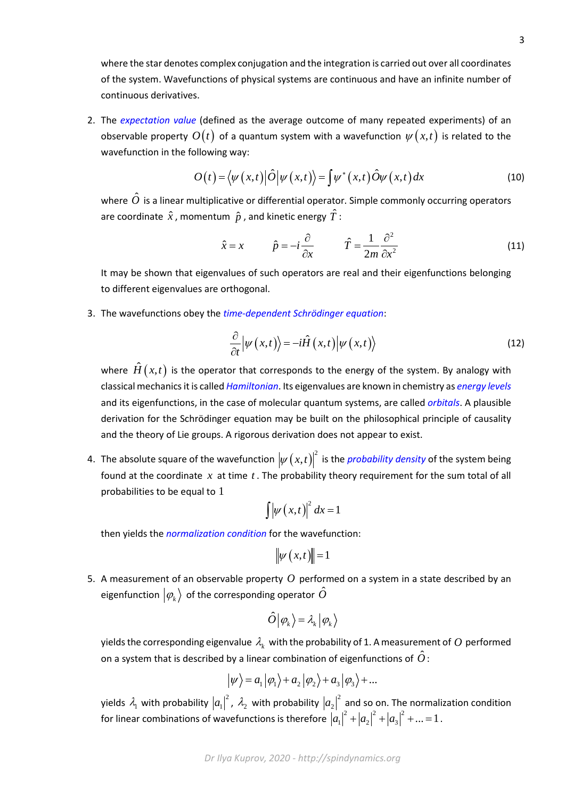where the star denotes complex conjugation and the integration is carried out over all coordinates of the system. Wavefunctions of physical systems are continuous and have an infinite number of continuous derivatives.

2. The *expectation value* (defined as the average outcome of many repeated experiments) of an observable property  $O(t)$  of a quantum system with a wavefunction  $\psi(x,t)$  is related to the wavefunction in the following way:

$$
O(t) = \langle \psi(x,t) | \hat{O} | \psi(x,t) \rangle = \int \psi^*(x,t) \hat{O} \psi(x,t) dx \tag{10}
$$

where  $\hat{O}$  is a linear multiplicative or differential operator. Simple commonly occurring operators are coordinate  $\hat{x}$ , momentum  $\hat{p}$ , and kinetic energy  $\hat{T}$ :

$$
\hat{x} = x \qquad \hat{p} = -i\frac{\partial}{\partial x} \qquad \hat{T} = \frac{1}{2m}\frac{\partial^2}{\partial x^2} \tag{11}
$$

It may be shown that eigenvalues of such operators are real and their eigenfunctions belonging to different eigenvalues are orthogonal.

3. The wavefunctions obey the *time-dependent Schrödinger equation*:

$$
\frac{\partial}{\partial t} \left| \psi \left( x, t \right) \right\rangle = -i \hat{H} \left( x, t \right) \left| \psi \left( x, t \right) \right\rangle \tag{12}
$$

where  $\hat{H}(x,t)$  is the operator that corresponds to the energy of the system. By analogy with classical mechanics it is called *Hamiltonian*. Its eigenvalues are known in chemistry as *energy levels* and its eigenfunctions, in the case of molecular quantum systems, are called *orbitals*. A plausible derivation for the Schrödinger equation may be built on the philosophical principle of causality and the theory of Lie groups. A rigorous derivation does not appear to exist.

4. The absolute square of the wavefunction  $\left|\psi \left( x,t\right) \right| ^{2}$  is the *probability density* of the system being found at the coordinate *x* at time *t* . The probability theory requirement for the sum total of all probabilities to be equal to 1

$$
\int \left| \psi \left( x,t \right) \right|^2 dx = 1
$$

then yields the *normalization condition* for the wavefunction:

$$
\|\psi\left(x,t\right)\|=1
$$

5. A measurement of an observable property *O* performed on a system in a state described by an eigenfunction  $\ket{\phi_k}$  of the corresponding operator  $\hat{O}$ 

$$
\hat{O}\big|\hspace{0.2em}\varphi_{_k}\hspace{0.2em}\big>\hspace{0.2em}=\hspace{0.2em}\lambda_{_k}\hspace{0.2em}\big|\hspace{0.2em}\varphi_{_k}\hspace{0.2em}\big>
$$

yields the corresponding eigenvalue  $\lambda_k$  with the probability of 1. A measurement of  $O$  performed on a system that is described by a linear combination of eigenfunctions of  $\hat{O}$  :

$$
|\psi\rangle = a_1 |\varphi_1\rangle + a_2 |\varphi_2\rangle + a_3 |\varphi_3\rangle + ...
$$

yields  $\lambda_1$  with probability  $\left|a_1\right|^2$ ,  $\lambda_2$  with probability  $\left|a_2\right|^2$  and so on. The normalization condition for linear combinations of wavefunctions is therefore  $\left| a_1\right|^2+\left| a_2\right|^2+\left| a_3\right|^2+...=1$  .